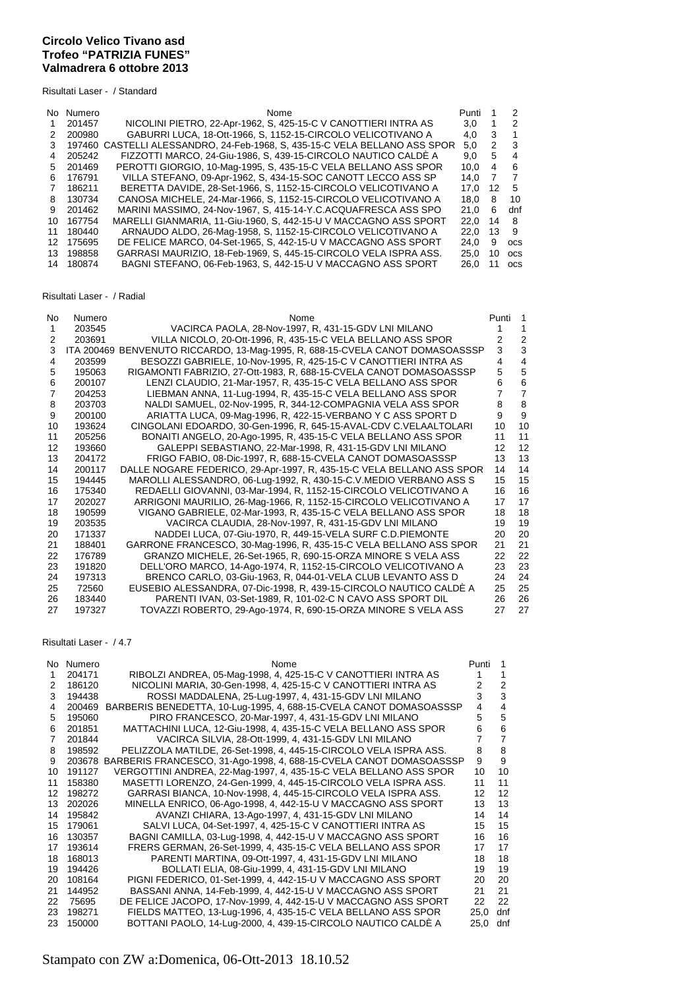## **Circolo Velico Tivano asd Trofeo "PATRIZIA FUNES" Valmadrera 6 ottobre 2013**

Risultati Laser - / Standard

| No. | Numero | Nome                                                                | Punti | -1           | 2          |
|-----|--------|---------------------------------------------------------------------|-------|--------------|------------|
|     | 201457 | NICOLINI PIETRO, 22-Apr-1962, S. 425-15-C V CANOTTIERI INTRA AS     | 3.0   | $\mathbf{1}$ | 2          |
| 2   | 200980 | GABURRI LUCA, 18-Ott-1966, S, 1152-15-CIRCOLO VELICOTIVANO A        | 4.0   | 3            |            |
| 3   | 197460 | CASTELLI ALESSANDRO, 24-Feb-1968, S. 435-15-C VELA BELLANO ASS SPOR | 5.0   | 2            | -3         |
| 4   | 205242 | FIZZOTTI MARCO, 24-Giu-1986, S, 439-15-CIRCOLO NAUTICO CALDE A      | 9.0   | 5            | 4          |
| 5   | 201469 | PEROTTI GIORGIO, 10-Mag-1995, S. 435-15-C VELA BELLANO ASS SPOR     | 10.0  | 4            | 6          |
| 6   | 176791 | VILLA STEFANO, 09-Apr-1962, S, 434-15-SOC CANOTT LECCO ASS SP       | 14.0  | 7            | -7         |
| 7   | 186211 | BERETTA DAVIDE, 28-Set-1966, S. 1152-15-CIRCOLO VELICOTIVANO A      | 17.0  | 12           | 5          |
| 8   | 130734 | CANOSA MICHELE, 24-Mar-1966, S, 1152-15-CIRCOLO VELICOTIVANO A      | 18.0  | 8            | 10         |
| 9   | 201462 | MARINI MASSIMO, 24-Nov-1967, S. 415-14-Y.C.ACQUAFRESCA ASS SPO      | 21.0  | 6            | dnf        |
| 10  | 167754 | MARELLI GIANMARIA, 11-Giu-1960, S. 442-15-U V MACCAGNO ASS SPORT    | 22.0  | 14           | 8          |
| 11  | 180440 | ARNAUDO ALDO, 26-Mag-1958, S. 1152-15-CIRCOLO VELICOTIVANO A        | 22.0  | 13           | 9          |
| 12. | 175695 | DE FELICE MARCO, 04-Set-1965, S, 442-15-U V MACCAGNO ASS SPORT      | 24.0  | 9            | <b>OCS</b> |
| 13. | 198858 | GARRASI MAURIZIO. 18-Feb-1969. S. 445-15-CIRCOLO VELA ISPRA ASS.    | 25.0  | 10           | <b>OCS</b> |
| 14  | 180874 | BAGNI STEFANO, 06-Feb-1963, S, 442-15-U V MACCAGNO ASS SPORT        | 26.0  | 11           | <b>OCS</b> |

## Risultati Laser - / Radial

| No | Numero            | Nome                                                                  | Punti | $\overline{1}$ |
|----|-------------------|-----------------------------------------------------------------------|-------|----------------|
| 1  | 203545            | VACIRCA PAOLA, 28-Nov-1997, R, 431-15-GDV LNI MILANO                  |       |                |
| 2  | 203691            | VILLA NICOLO, 20-Ott-1996, R, 435-15-C VELA BELLANO ASS SPOR          | 2     | $\overline{2}$ |
| 3  | <b>ITA 200469</b> | BENVENUTO RICCARDO, 13-Mag-1995, R, 688-15-CVELA CANOT DOMASOASSSP    | 3     | 3              |
| 4  | 203599            | BESOZZI GABRIELE, 10-Nov-1995, R, 425-15-C V CANOTTIERI INTRA AS      | 4     | 4              |
| 5  | 195063            | RIGAMONTI FABRIZIO, 27-Ott-1983, R, 688-15-CVELA CANOT DOMASOASSSP    | 5     | 5              |
| 6  | 200107            | LENZI CLAUDIO, 21-Mar-1957, R, 435-15-C VELA BELLANO ASS SPOR         | 6     | 6              |
| 7  | 204253            | LIEBMAN ANNA, 11-Lug-1994, R, 435-15-C VELA BELLANO ASS SPOR          | 7     | $\overline{7}$ |
| 8  | 203703            | NALDI SAMUEL, 02-Nov-1995, R, 344-12-COMPAGNIA VELA ASS SPOR          | 8     | 8              |
| 9  | 200100            | ARIATTA LUCA, 09-Mag-1996, R, 422-15-VERBANO Y C ASS SPORT D          | 9     | 9              |
| 10 | 193624            | CINGOLANI EDOARDO, 30-Gen-1996, R, 645-15-AVAL-CDV C.VELAALTOLARI     | 10    | 10             |
| 11 | 205256            | BONAITI ANGELO, 20-Ago-1995, R, 435-15-C VELA BELLANO ASS SPOR        | 11    | 11             |
| 12 | 193660            | GALEPPI SEBASTIANO, 22-Mar-1998, R, 431-15-GDV LNI MILANO             | 12    | 12             |
| 13 | 204172            | FRIGO FABIO, 08-Dic-1997, R, 688-15-CVELA CANOT DOMASOASSSP           | 13    | 13             |
| 14 | 200117            | DALLE NOGARE FEDERICO, 29-Apr-1997, R, 435-15-C VELA BELLANO ASS SPOR | 14    | 14             |
| 15 | 194445            | MAROLLI ALESSANDRO, 06-Lug-1992, R, 430-15-C.V.MEDIO VERBANO ASS S    | 15    | 15             |
| 16 | 175340            | REDAELLI GIOVANNI, 03-Mar-1994, R, 1152-15-CIRCOLO VELICOTIVANO A     | 16    | 16             |
| 17 | 202027            | ARRIGONI MAURILIO, 26-Mag-1966, R, 1152-15-CIRCOLO VELICOTIVANO A     | 17    | 17             |
| 18 | 190599            | VIGANO GABRIELE, 02-Mar-1993, R, 435-15-C VELA BELLANO ASS SPOR       | 18    | 18             |
| 19 | 203535            | VACIRCA CLAUDIA, 28-Nov-1997, R, 431-15-GDV LNI MILANO                | 19    | 19             |
| 20 | 171337            | NADDEI LUCA, 07-Giu-1970, R, 449-15-VELA SURF C.D.PIEMONTE            | 20    | 20             |
| 21 | 188401            | GARRONE FRANCESCO, 30-Mag-1996, R, 435-15-C VELA BELLANO ASS SPOR     | 21    | 21             |
| 22 | 176789            | GRANZO MICHELE, 26-Set-1965, R, 690-15-ORZA MINORE S VELA ASS         | 22    | 22             |
| 23 | 191820            | DELL'ORO MARCO, 14-Ago-1974, R, 1152-15-CIRCOLO VELICOTIVANO A        | 23    | 23             |
| 24 | 197313            | BRENCO CARLO, 03-Giu-1963, R, 044-01-VELA CLUB LEVANTO ASS D          | 24    | 24             |
| 25 | 72560             | EUSEBIO ALESSANDRA, 07-Dic-1998, R, 439-15-CIRCOLO NAUTICO CALDE A    | 25    | 25             |
| 26 | 183440            | PARENTI IVAN, 03-Set-1989, R, 101-02-C N CAVO ASS SPORT DIL           | 26    | 26             |
| 27 | 197327            | TOVAZZI ROBERTO, 29-Ago-1974, R, 690-15-ORZA MINORE S VELA ASS        | 27    | 27             |

## Risultati Laser - / 4.7

| No. | Numero | Nome                                                               | Punti | 1   |
|-----|--------|--------------------------------------------------------------------|-------|-----|
| 1.  | 204171 | RIBOLZI ANDREA, 05-Mag-1998, 4, 425-15-C V CANOTTIERI INTRA AS     |       |     |
| 2   | 186120 | NICOLINI MARIA, 30-Gen-1998, 4, 425-15-C V CANOTTIERI INTRA AS     | 2     | 2   |
| 3   | 194438 | ROSSI MADDALENA, 25-Lug-1997, 4, 431-15-GDV LNI MILANO             | 3     | 3   |
| 4   | 200469 | BARBERIS BENEDETTA, 10-Lug-1995, 4, 688-15-CVELA CANOT DOMASOASSSP | 4     | 4   |
| 5   | 195060 | PIRO FRANCESCO, 20-Mar-1997, 4, 431-15-GDV LNI MILANO              | 5     | 5   |
| 6   | 201851 | MATTACHINI LUCA, 12-Giu-1998, 4, 435-15-C VELA BELLANO ASS SPOR    | 6     | 6   |
| 7   | 201844 | VACIRCA SILVIA, 28-Ott-1999, 4, 431-15-GDV LNI MILANO              |       | 7   |
| 8   | 198592 | PELIZZOLA MATILDE, 26-Set-1998, 4, 445-15-CIRCOLO VELA ISPRA ASS.  | 8     | 8   |
| 9   | 203678 | BARBERIS FRANCESCO, 31-Ago-1998, 4, 688-15-CVELA CANOT DOMASOASSSP | 9     | 9   |
| 10  | 191127 | VERGOTTINI ANDREA, 22-Mag-1997, 4, 435-15-C VELA BELLANO ASS SPOR  | 10    | 10  |
| 11  | 158380 | MASETTI LORENZO, 24-Gen-1999, 4, 445-15-CIRCOLO VELA ISPRA ASS.    | 11    | 11  |
| 12  | 198272 | GARRASI BIANCA, 10-Nov-1998, 4, 445-15-CIRCOLO VELA ISPRA ASS.     | 12    | 12  |
| 13  | 202026 | MINELLA ENRICO, 06-Ago-1998, 4, 442-15-U V MACCAGNO ASS SPORT      | 13    | 13  |
| 14  | 195842 | AVANZI CHIARA, 13-Ago-1997, 4, 431-15-GDV LNI MILANO               | 14    | 14  |
| 15  | 179061 | SALVI LUCA, 04-Set-1997, 4, 425-15-C V CANOTTIERI INTRA AS         | 15    | 15  |
| 16  | 130357 | BAGNI CAMILLA, 03-Lug-1998, 4, 442-15-U V MACCAGNO ASS SPORT       | 16    | 16  |
| 17  | 193614 | FRERS GERMAN, 26-Set-1999, 4, 435-15-C VELA BELLANO ASS SPOR       | 17    | 17  |
| 18  | 168013 | PARENTI MARTINA, 09-Ott-1997, 4, 431-15-GDV LNI MILANO             | 18    | 18  |
| 19  | 194426 | BOLLATI ELIA, 08-Giu-1999, 4, 431-15-GDV LNI MILANO                | 19    | 19  |
| 20  | 108164 | PIGNI FEDERICO, 01-Set-1999, 4, 442-15-U V MACCAGNO ASS SPORT      | 20    | 20  |
| 21  | 144952 | BASSANI ANNA, 14-Feb-1999, 4, 442-15-U V MACCAGNO ASS SPORT        | 21    | 21  |
| 22  | 75695  | DE FELICE JACOPO, 17-Nov-1999, 4, 442-15-U V MACCAGNO ASS SPORT    | 22    | 22  |
| 23  | 198271 | FIELDS MATTEO, 13-Lug-1996, 4, 435-15-C VELA BELLANO ASS SPOR      | 25.0  | dnf |
| 23  | 150000 | BOTTANI PAOLO, 14-Luq-2000, 4, 439-15-CIRCOLO NAUTICO CALDE A      | 25.0  | dnf |

## Stampato con ZW a:Domenica, 06-Ott-2013 18.10.52